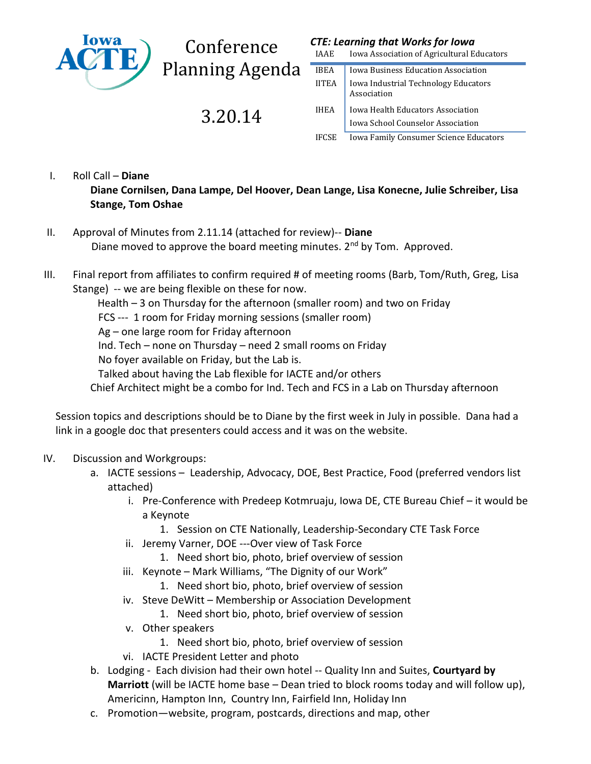

**Conference** Planning Agenda

3.20.14

## *CTE: Learning that Works for Iowa*

IAAE Iowa Association of Agricultural Educators

| IBEA         | Iowa Business Education Association                 |
|--------------|-----------------------------------------------------|
| <b>IITEA</b> | Iowa Industrial Technology Educators<br>Association |
| IHEA         | Iowa Health Educators Association                   |
|              | Iowa School Counselor Association                   |
| <b>IFCSE</b> | Iowa Family Consumer Science Educators              |

I. Roll Call – **Diane**

**Diane Cornilsen, Dana Lampe, Del Hoover, Dean Lange, Lisa Konecne, Julie Schreiber, Lisa Stange, Tom Oshae**

- II. Approval of Minutes from 2.11.14 (attached for review)-- **Diane** Diane moved to approve the board meeting minutes.  $2<sup>nd</sup>$  by Tom. Approved.
- III. Final report from affiliates to confirm required # of meeting rooms (Barb, Tom/Ruth, Greg, Lisa Stange) -- we are being flexible on these for now.

Health – 3 on Thursday for the afternoon (smaller room) and two on Friday

FCS --- 1 room for Friday morning sessions (smaller room)

Ag – one large room for Friday afternoon

Ind. Tech – none on Thursday – need 2 small rooms on Friday

No foyer available on Friday, but the Lab is.

Talked about having the Lab flexible for IACTE and/or others

Chief Architect might be a combo for Ind. Tech and FCS in a Lab on Thursday afternoon

Session topics and descriptions should be to Diane by the first week in July in possible. Dana had a link in a google doc that presenters could access and it was on the website.

## IV. Discussion and Workgroups:

- a. IACTE sessions Leadership, Advocacy, DOE, Best Practice, Food (preferred vendors list attached)
	- i. Pre-Conference with Predeep Kotmruaju, Iowa DE, CTE Bureau Chief it would be a Keynote
		- 1. Session on CTE Nationally, Leadership-Secondary CTE Task Force
	- ii. Jeremy Varner, DOE ---Over view of Task Force
		- 1. Need short bio, photo, brief overview of session
	- iii. Keynote Mark Williams, "The Dignity of our Work"
		- 1. Need short bio, photo, brief overview of session
	- iv. Steve DeWitt Membership or Association Development
		- 1. Need short bio, photo, brief overview of session
	- v. Other speakers
		- 1. Need short bio, photo, brief overview of session
	- vi. IACTE President Letter and photo
- b. Lodging Each division had their own hotel -- Quality Inn and Suites, **Courtyard by Marriott** (will be IACTE home base – Dean tried to block rooms today and will follow up), Americinn, Hampton Inn, Country Inn, Fairfield Inn, Holiday Inn
- c. Promotion—website, program, postcards, directions and map, other